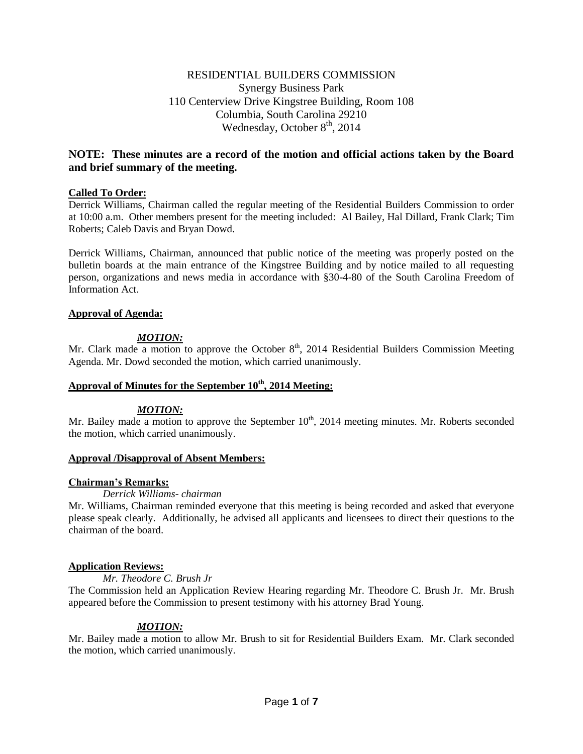# RESIDENTIAL BUILDERS COMMISSION Synergy Business Park 110 Centerview Drive Kingstree Building, Room 108 Columbia, South Carolina 29210 Wednesday, October  $8<sup>th</sup>$ , 2014

# **NOTE: These minutes are a record of the motion and official actions taken by the Board and brief summary of the meeting.**

## **Called To Order:**

Derrick Williams, Chairman called the regular meeting of the Residential Builders Commission to order at 10:00 a.m. Other members present for the meeting included: Al Bailey, Hal Dillard, Frank Clark; Tim Roberts; Caleb Davis and Bryan Dowd.

Derrick Williams, Chairman, announced that public notice of the meeting was properly posted on the bulletin boards at the main entrance of the Kingstree Building and by notice mailed to all requesting person, organizations and news media in accordance with §30-4-80 of the South Carolina Freedom of Information Act.

## **Approval of Agenda:**

# *MOTION:*

Mr. Clark made a motion to approve the October  $8<sup>th</sup>$ , 2014 Residential Builders Commission Meeting Agenda. Mr. Dowd seconded the motion, which carried unanimously.

## **Approval of Minutes for the September 10th , 2014 Meeting:**

### *MOTION:*

Mr. Bailey made a motion to approve the September  $10<sup>th</sup>$ , 2014 meeting minutes. Mr. Roberts seconded the motion, which carried unanimously.

### **Approval /Disapproval of Absent Members:**

# **Chairman's Remarks:**

*Derrick Williams- chairman*

Mr. Williams, Chairman reminded everyone that this meeting is being recorded and asked that everyone please speak clearly. Additionally, he advised all applicants and licensees to direct their questions to the chairman of the board.

# **Application Reviews:**

*Mr. Theodore C. Brush Jr*

The Commission held an Application Review Hearing regarding Mr. Theodore C. Brush Jr. Mr. Brush appeared before the Commission to present testimony with his attorney Brad Young.

### *MOTION:*

Mr. Bailey made a motion to allow Mr. Brush to sit for Residential Builders Exam. Mr. Clark seconded the motion, which carried unanimously.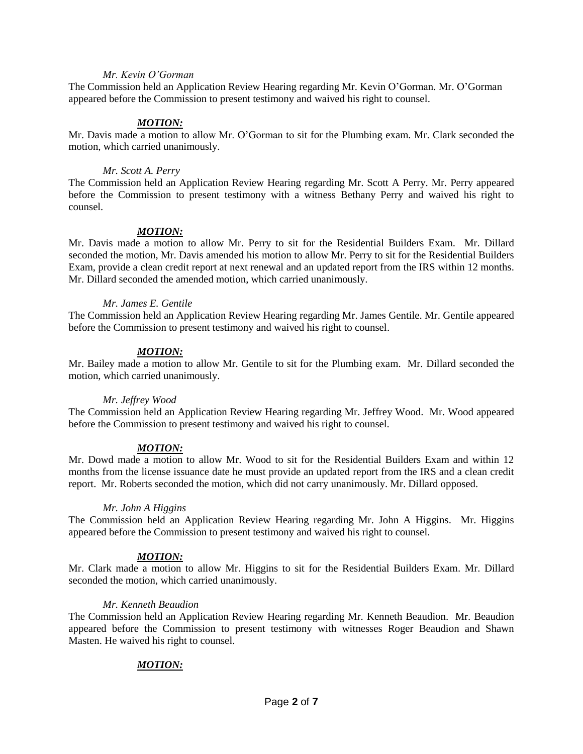## *Mr. Kevin O'Gorman*

The Commission held an Application Review Hearing regarding Mr. Kevin O'Gorman. Mr. O'Gorman appeared before the Commission to present testimony and waived his right to counsel.

### *MOTION:*

Mr. Davis made a motion to allow Mr. O'Gorman to sit for the Plumbing exam. Mr. Clark seconded the motion, which carried unanimously.

### *Mr. Scott A. Perry*

The Commission held an Application Review Hearing regarding Mr. Scott A Perry. Mr. Perry appeared before the Commission to present testimony with a witness Bethany Perry and waived his right to counsel.

### *MOTION:*

Mr. Davis made a motion to allow Mr. Perry to sit for the Residential Builders Exam. Mr. Dillard seconded the motion, Mr. Davis amended his motion to allow Mr. Perry to sit for the Residential Builders Exam, provide a clean credit report at next renewal and an updated report from the IRS within 12 months. Mr. Dillard seconded the amended motion, which carried unanimously.

### *Mr. James E. Gentile*

The Commission held an Application Review Hearing regarding Mr. James Gentile. Mr. Gentile appeared before the Commission to present testimony and waived his right to counsel.

### *MOTION:*

Mr. Bailey made a motion to allow Mr. Gentile to sit for the Plumbing exam. Mr. Dillard seconded the motion, which carried unanimously.

#### *Mr. Jeffrey Wood*

The Commission held an Application Review Hearing regarding Mr. Jeffrey Wood. Mr. Wood appeared before the Commission to present testimony and waived his right to counsel.

### *MOTION:*

Mr. Dowd made a motion to allow Mr. Wood to sit for the Residential Builders Exam and within 12 months from the license issuance date he must provide an updated report from the IRS and a clean credit report. Mr. Roberts seconded the motion, which did not carry unanimously. Mr. Dillard opposed.

#### *Mr. John A Higgins*

The Commission held an Application Review Hearing regarding Mr. John A Higgins. Mr. Higgins appeared before the Commission to present testimony and waived his right to counsel.

### *MOTION:*

Mr. Clark made a motion to allow Mr. Higgins to sit for the Residential Builders Exam. Mr. Dillard seconded the motion, which carried unanimously.

#### *Mr. Kenneth Beaudion*

The Commission held an Application Review Hearing regarding Mr. Kenneth Beaudion. Mr. Beaudion appeared before the Commission to present testimony with witnesses Roger Beaudion and Shawn Masten. He waived his right to counsel.

# *MOTION:*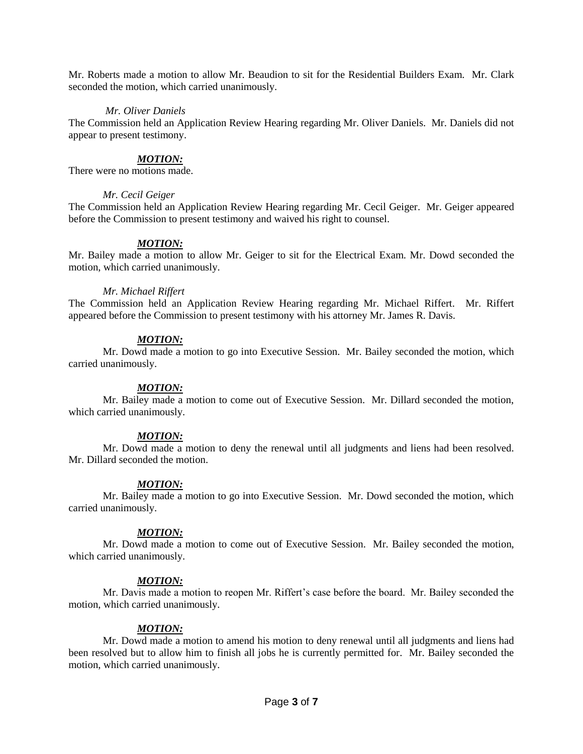Mr. Roberts made a motion to allow Mr. Beaudion to sit for the Residential Builders Exam. Mr. Clark seconded the motion, which carried unanimously.

### *Mr. Oliver Daniels*

The Commission held an Application Review Hearing regarding Mr. Oliver Daniels. Mr. Daniels did not appear to present testimony.

### *MOTION:*

There were no motions made.

### *Mr. Cecil Geiger*

The Commission held an Application Review Hearing regarding Mr. Cecil Geiger. Mr. Geiger appeared before the Commission to present testimony and waived his right to counsel.

### *MOTION:*

Mr. Bailey made a motion to allow Mr. Geiger to sit for the Electrical Exam. Mr. Dowd seconded the motion, which carried unanimously.

### *Mr. Michael Riffert*

The Commission held an Application Review Hearing regarding Mr. Michael Riffert. Mr. Riffert appeared before the Commission to present testimony with his attorney Mr. James R. Davis.

### *MOTION:*

Mr. Dowd made a motion to go into Executive Session. Mr. Bailey seconded the motion, which carried unanimously.

### *MOTION:*

Mr. Bailey made a motion to come out of Executive Session. Mr. Dillard seconded the motion, which carried unanimously.

### *MOTION:*

Mr. Dowd made a motion to deny the renewal until all judgments and liens had been resolved. Mr. Dillard seconded the motion.

### *MOTION:*

Mr. Bailey made a motion to go into Executive Session. Mr. Dowd seconded the motion, which carried unanimously.

### *MOTION:*

Mr. Dowd made a motion to come out of Executive Session. Mr. Bailey seconded the motion, which carried unanimously.

### *MOTION:*

Mr. Davis made a motion to reopen Mr. Riffert's case before the board. Mr. Bailey seconded the motion, which carried unanimously.

### *MOTION:*

Mr. Dowd made a motion to amend his motion to deny renewal until all judgments and liens had been resolved but to allow him to finish all jobs he is currently permitted for. Mr. Bailey seconded the motion, which carried unanimously.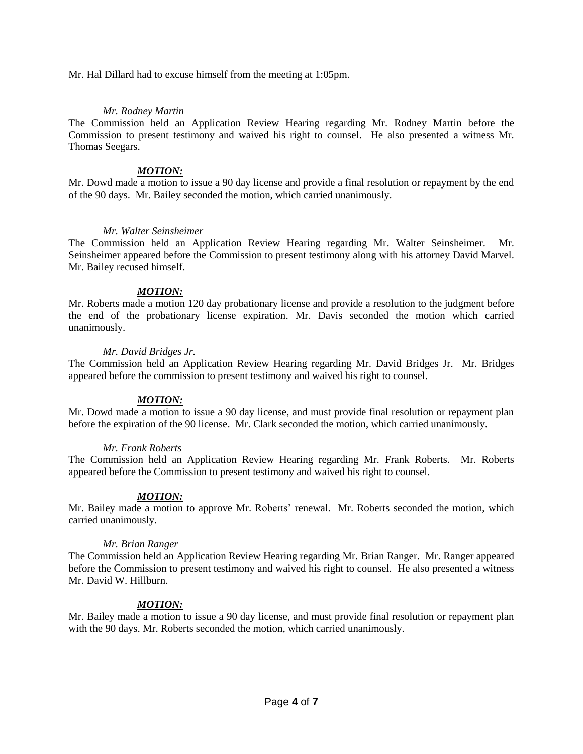Mr. Hal Dillard had to excuse himself from the meeting at 1:05pm.

## *Mr. Rodney Martin*

The Commission held an Application Review Hearing regarding Mr. Rodney Martin before the Commission to present testimony and waived his right to counsel. He also presented a witness Mr. Thomas Seegars.

### *MOTION:*

Mr. Dowd made a motion to issue a 90 day license and provide a final resolution or repayment by the end of the 90 days. Mr. Bailey seconded the motion, which carried unanimously.

## *Mr. Walter Seinsheimer*

The Commission held an Application Review Hearing regarding Mr. Walter Seinsheimer. Mr. Seinsheimer appeared before the Commission to present testimony along with his attorney David Marvel. Mr. Bailey recused himself.

# *MOTION:*

Mr. Roberts made a motion 120 day probationary license and provide a resolution to the judgment before the end of the probationary license expiration. Mr. Davis seconded the motion which carried unanimously.

## *Mr. David Bridges Jr.*

The Commission held an Application Review Hearing regarding Mr. David Bridges Jr. Mr. Bridges appeared before the commission to present testimony and waived his right to counsel.

# *MOTION:*

Mr. Dowd made a motion to issue a 90 day license, and must provide final resolution or repayment plan before the expiration of the 90 license. Mr. Clark seconded the motion, which carried unanimously.

### *Mr. Frank Roberts*

The Commission held an Application Review Hearing regarding Mr. Frank Roberts. Mr. Roberts appeared before the Commission to present testimony and waived his right to counsel.

# *MOTION:*

Mr. Bailey made a motion to approve Mr. Roberts' renewal. Mr. Roberts seconded the motion, which carried unanimously.

### *Mr. Brian Ranger*

The Commission held an Application Review Hearing regarding Mr. Brian Ranger. Mr. Ranger appeared before the Commission to present testimony and waived his right to counsel. He also presented a witness Mr. David W. Hillburn.

# *MOTION:*

Mr. Bailey made a motion to issue a 90 day license, and must provide final resolution or repayment plan with the 90 days. Mr. Roberts seconded the motion, which carried unanimously.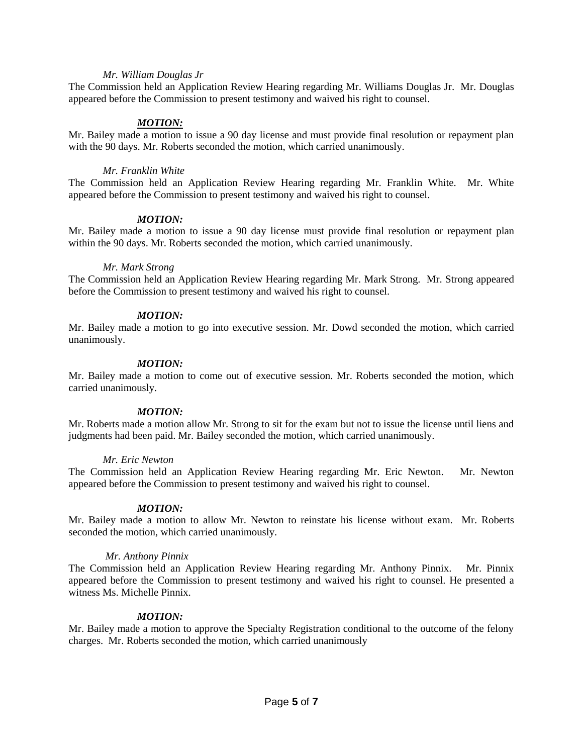### *Mr. William Douglas Jr*

The Commission held an Application Review Hearing regarding Mr. Williams Douglas Jr. Mr. Douglas appeared before the Commission to present testimony and waived his right to counsel.

### *MOTION:*

Mr. Bailey made a motion to issue a 90 day license and must provide final resolution or repayment plan with the 90 days. Mr. Roberts seconded the motion, which carried unanimously.

### *Mr. Franklin White*

The Commission held an Application Review Hearing regarding Mr. Franklin White. Mr. White appeared before the Commission to present testimony and waived his right to counsel.

### *MOTION:*

Mr. Bailey made a motion to issue a 90 day license must provide final resolution or repayment plan within the 90 days. Mr. Roberts seconded the motion, which carried unanimously.

### *Mr. Mark Strong*

The Commission held an Application Review Hearing regarding Mr. Mark Strong. Mr. Strong appeared before the Commission to present testimony and waived his right to counsel.

### *MOTION:*

Mr. Bailey made a motion to go into executive session. Mr. Dowd seconded the motion, which carried unanimously.

### *MOTION:*

Mr. Bailey made a motion to come out of executive session. Mr. Roberts seconded the motion, which carried unanimously.

### *MOTION:*

Mr. Roberts made a motion allow Mr. Strong to sit for the exam but not to issue the license until liens and judgments had been paid. Mr. Bailey seconded the motion, which carried unanimously.

#### *Mr. Eric Newton*

The Commission held an Application Review Hearing regarding Mr. Eric Newton. Mr. Newton appeared before the Commission to present testimony and waived his right to counsel.

### *MOTION:*

Mr. Bailey made a motion to allow Mr. Newton to reinstate his license without exam. Mr. Roberts seconded the motion, which carried unanimously.

#### *Mr. Anthony Pinnix*

The Commission held an Application Review Hearing regarding Mr. Anthony Pinnix. Mr. Pinnix appeared before the Commission to present testimony and waived his right to counsel. He presented a witness Ms. Michelle Pinnix.

#### *MOTION:*

Mr. Bailey made a motion to approve the Specialty Registration conditional to the outcome of the felony charges. Mr. Roberts seconded the motion, which carried unanimously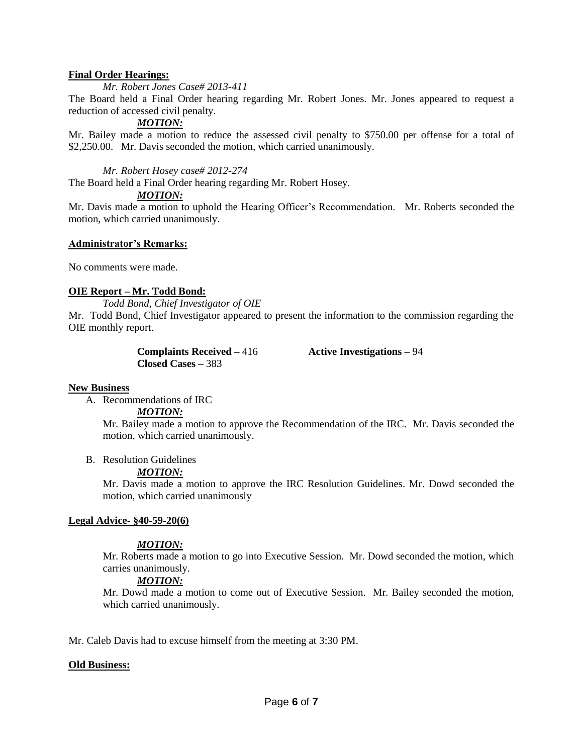### **Final Order Hearings:**

*Mr. Robert Jones Case# 2013-411*

The Board held a Final Order hearing regarding Mr. Robert Jones. Mr. Jones appeared to request a reduction of accessed civil penalty.

*MOTION:*

Mr. Bailey made a motion to reduce the assessed civil penalty to \$750.00 per offense for a total of \$2,250.00. Mr. Davis seconded the motion, which carried unanimously.

*Mr. Robert Hosey case# 2012-274*

The Board held a Final Order hearing regarding Mr. Robert Hosey.

### *MOTION:*

Mr. Davis made a motion to uphold the Hearing Officer's Recommendation. Mr. Roberts seconded the motion, which carried unanimously.

### **Administrator's Remarks:**

No comments were made.

## **OIE Report – Mr. Todd Bond:**

*Todd Bond, Chief Investigator of OIE*

Mr. Todd Bond, Chief Investigator appeared to present the information to the commission regarding the OIE monthly report.

> **Complaints Received –** 416 **Active Investigations –** 94 **Closed Cases –** 383

### **New Business**

A. Recommendations of IRC

*MOTION:*

Mr. Bailey made a motion to approve the Recommendation of the IRC. Mr. Davis seconded the motion, which carried unanimously.

B. Resolution Guidelines

# *MOTION:*

Mr. Davis made a motion to approve the IRC Resolution Guidelines. Mr. Dowd seconded the motion, which carried unanimously

### **Legal Advice- §40-59-20(6)**

# *MOTION:*

Mr. Roberts made a motion to go into Executive Session. Mr. Dowd seconded the motion, which carries unanimously.

# *MOTION:*

Mr. Dowd made a motion to come out of Executive Session. Mr. Bailey seconded the motion, which carried unanimously.

Mr. Caleb Davis had to excuse himself from the meeting at 3:30 PM.

### **Old Business:**